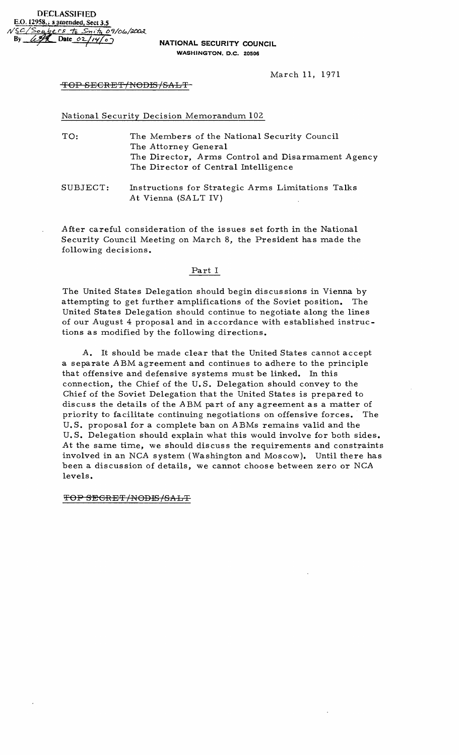March 11, 1971

## TOP SECRET/NODIS/SALT-

National Security Decision Memorandum 102

- TO: The Members of the National Security Council The Attorney General The Director, Arms Control and Disarmament Agency The Director of Central Intelligence
- SUBJECT: Instructions for Strategic Arms Limitations Talks At Vienna (SALT IV)

After careful consideration of the issues set forth in the National Security Council Meeting on March 8, the President has made the following decisions.

#### $Part I$

The United States Delegation should begin discussions in Vienna by attempting to get further amplifications of the Soviet position. The United States Delegation should continue to negotiate along the lines of our August 4 proposal and in accordance with established instructions as modified by the following directions.

A. It should be made clear that the United States cannot accept a separate ABM agreement and continues to adhere to the principle that offensive and defensive systems must be linked. In this connection, the Chief of the U.S. Delegation should convey to the Chief of the Soviet Delegation that the United States is prepared to discuss the details of the ABM part of any agreement as a matter of priority to facilitate continuing negotiations on offensive forces. The U.S. proposal for a complete ban on ABMs remains valid and the U.S. Delegation should explain what this would involve for both sides. At the same time, we should discuss the requirements and constraints involved in an NCA system (Washington and Moscow). Until there has been a discussion of details, we cannot choose between zero or NCA levels.

## TOP SEGRET/NODIS/SALT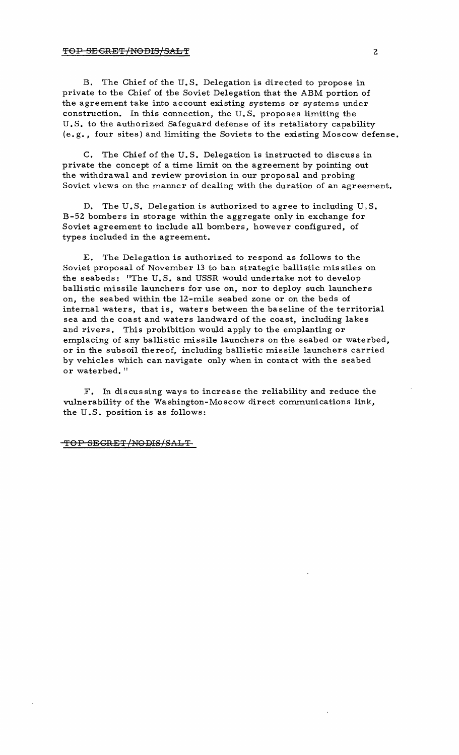## TOP SECRET/NODIS/SALT

B. The Chief of the U. S. Delegation is directed to propose in private to the Chief of the Soviet Delegation that the ABM portion of the agreement take into account existing systems or systems under construction. In this connection, the U. S. proposes limiting the U. S. to the authorized Safeguard defense of its retaliatory capability (e.g., four sites) and limiting the Soviets to the existing Moscow defense.

C. The Chief of the U.S. Delegation is instructed to discuss in private the concept of a time limit on the agreement by pointing out the withdrawal and review provision in our proposal and probing Soviet views on the manner of dealing with the duration of an agreement.

D. The U.S. Delegation is authorized to agree to including  $U.S.$ B-52 bombers in storage within the aggregate only in exchange for Soviet agreement to include all bombers, however configured, of types included in the agreement.

E. The Delegation is authorized to respond as follows to the Soviet proposal of November 13 to ban strategic ballistic missiles on the seabeds: "The U. S. and USSR would undertake not to develop ballistic missile launchers for use on, nor to deploy such launchers on, the seabed within the l2-mile seabed zone or on the beds of internal waters, that is, waters between the baseline of the territorial sea and the coast and waters landward of the coast, including lakes and rivers. This prohibition would apply to the emplanting or emplacing of any ballistic missile launchers on the seabed or waterbed, or in the subsoil thereof, including ballistic missile launchers carried by vehicles which can navigate only when in contact with the seabed or waterbed."

F. In discus sing ways to increase the reliability and reduce the vulnerability of the Washington-Moscow direct communications link, the U.S. position is as follows:

### TOP SECRET/NODIS/SALT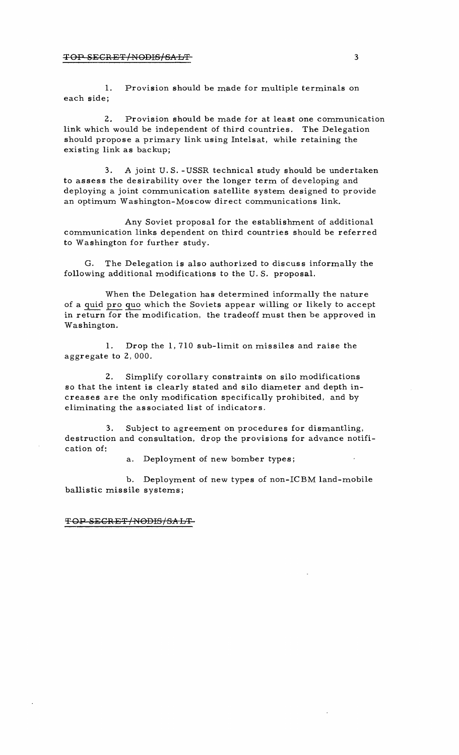#### **TOP SECRET/NODIS/SALT** 3

1. Provision should be made for multiple terminals on each side;

2. Provision should be made for at least one communication link which would be independent of third countries. The Delegation should propose a primary link using Inte1sat, while retaining the existing link as backup;

3. A joint U.S. -USSR technical study should be undertaken to assess the desirability over the longer term of developing and deploying a joint communication satellite system designed to provide an optimum Washington-Moscow direct communications link.

Any Soviet proposal for the establishment of additional communication links dependent on third countries should be referred to Washington for further study.

G. The Delegation is also authorized to discuss informally the following additional modifications to the U. S. proposal.

When the Delegation has determined informally the nature of a quid pro quo which the Soviets appear willing or likely to accept in return for the modification, the tradeoff must then be approved in Washington.

1. Drop the 1,710 sub-limit on missiles and raise the aggregate to 2, 000.

2. Simplify corollary constraints on silo modifications so that the intent is clearly stated and silo diameter and depth in creases are the only modification specifically prohibited, and by eliminating the associated list of indicators.

3. Subject to agreement on procedures for dismantling, destruction and consultation, drop the provisions for advance notifi cation of:

a. Deployment of new bomber types;

b. Deployment of new types of non-ICBM land-mobile ballistic missile systems;

~OP SECRET/NOBIS/SALT